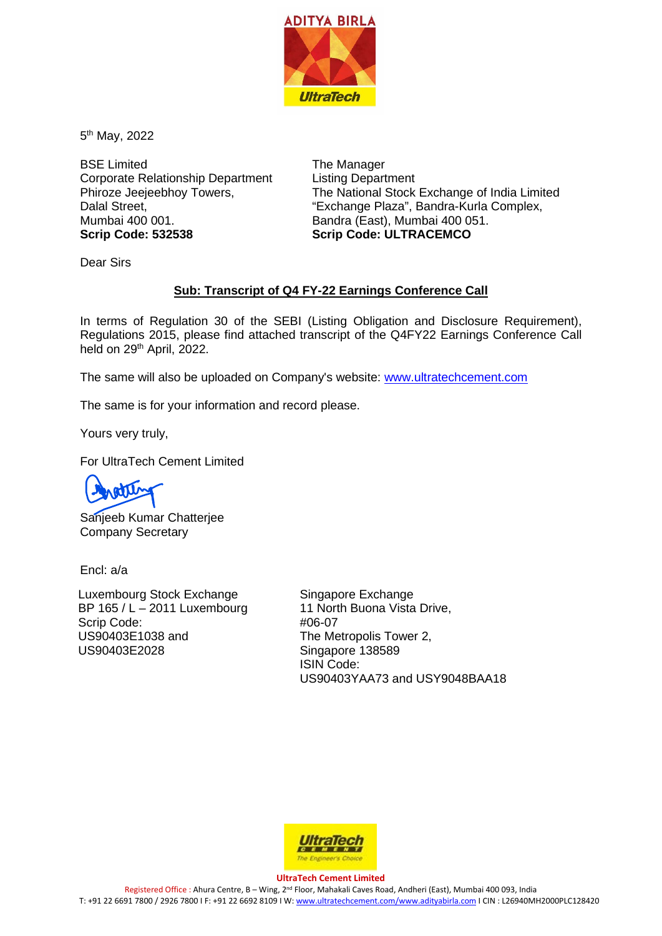

5th May, 2022

BSE Limited Corporate Relationship Department Phiroze Jeejeebhoy Towers, Dalal Street, Mumbai 400 001. **Scrip Code: 532538**

The Manager Listing Department The National Stock Exchange of India Limited "Exchange Plaza", Bandra-Kurla Complex, Bandra (East), Mumbai 400 051. **Scrip Code: ULTRACEMCO**

Dear Sirs

# **Sub: Transcript of Q4 FY-22 Earnings Conference Call**

In terms of Regulation 30 of the SEBI (Listing Obligation and Disclosure Requirement), Regulations 2015, please find attached transcript of the Q4FY22 Earnings Conference Call held on 29<sup>th</sup> April, 2022.

The same will also be uploaded on Company's website: [www.ultratechcement.com](http://www.ultratechcement.com/)

The same is for your information and record please.

Yours very truly,

For UltraTech Cement Limited

Sanjeeb Kumar Chatterjee Company Secretary

Encl: a/a

Luxembourg Stock Exchange BP 165 / L – 2011 Luxembourg Scrip Code: US90403E1038 and US90403E2028

Singapore Exchange 11 North Buona Vista Drive, #06-07 The Metropolis Tower 2, Singapore 138589 ISIN Code: US90403YAA73 and USY9048BAA18



#### **UltraTech Cement Limited**

Registered Office : Ahura Centre, B – Wing, 2nd Floor, Mahakali Caves Road, Andheri (East), Mumbai 400 093, India T: +91 22 6691 7800 / 2926 7800 I F: +91 22 6692 8109 I W[: www.ultratechcement.com/www.adityabirla.com](http://www.ultratechcement.com/www.adityabirla.com) I CIN : L26940MH2000PLC128420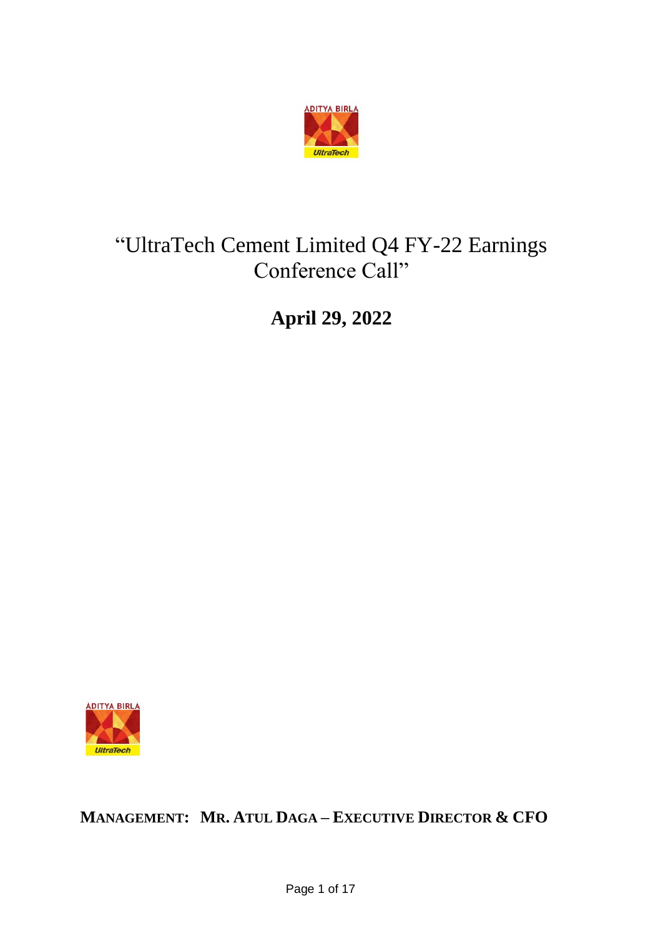

# "UltraTech Cement Limited Q4 FY-22 Earnings Conference Call"

**April 29, 2022**



**MANAGEMENT: MR. ATUL DAGA – EXECUTIVE DIRECTOR & CFO**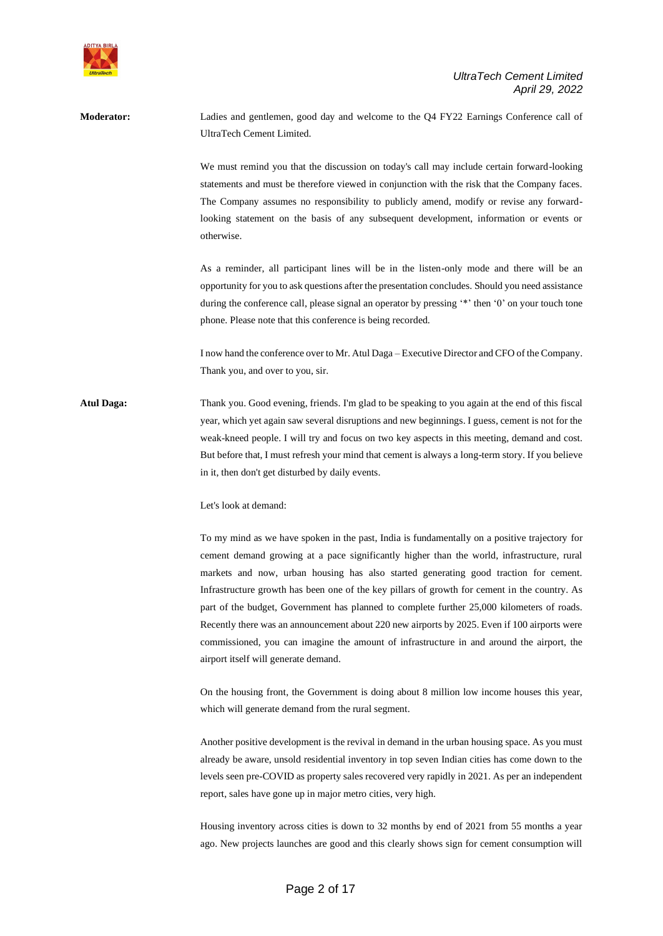

**Moderator:** Ladies and gentlemen, good day and welcome to the Q4 FY22 Earnings Conference call of UltraTech Cement Limited. We must remind you that the discussion on today's call may include certain forward-looking statements and must be therefore viewed in conjunction with the risk that the Company faces. The Company assumes no responsibility to publicly amend, modify or revise any forwardlooking statement on the basis of any subsequent development, information or events or otherwise. As a reminder, all participant lines will be in the listen-only mode and there will be an opportunity for you to ask questions after the presentation concludes. Should you need assistance during the conference call, please signal an operator by pressing '\*' then '0' on your touch tone phone. Please note that this conference is being recorded. I now hand the conference over to Mr. Atul Daga – Executive Director and CFO of the Company. Thank you, and over to you, sir. **Atul Daga:** Thank you. Good evening, friends. I'm glad to be speaking to you again at the end of this fiscal year, which yet again saw several disruptions and new beginnings. I guess, cement is not for the weak-kneed people. I will try and focus on two key aspects in this meeting, demand and cost. But before that, I must refresh your mind that cement is always a long-term story. If you believe in it, then don't get disturbed by daily events. Let's look at demand: To my mind as we have spoken in the past, India is fundamentally on a positive trajectory for

cement demand growing at a pace significantly higher than the world, infrastructure, rural markets and now, urban housing has also started generating good traction for cement. Infrastructure growth has been one of the key pillars of growth for cement in the country. As part of the budget, Government has planned to complete further 25,000 kilometers of roads. Recently there was an announcement about 220 new airports by 2025. Even if 100 airports were commissioned, you can imagine the amount of infrastructure in and around the airport, the airport itself will generate demand.

On the housing front, the Government is doing about 8 million low income houses this year, which will generate demand from the rural segment.

Another positive development is the revival in demand in the urban housing space. As you must already be aware, unsold residential inventory in top seven Indian cities has come down to the levels seen pre-COVID as property sales recovered very rapidly in 2021. As per an independent report, sales have gone up in major metro cities, very high.

Housing inventory across cities is down to 32 months by end of 2021 from 55 months a year ago. New projects launches are good and this clearly shows sign for cement consumption will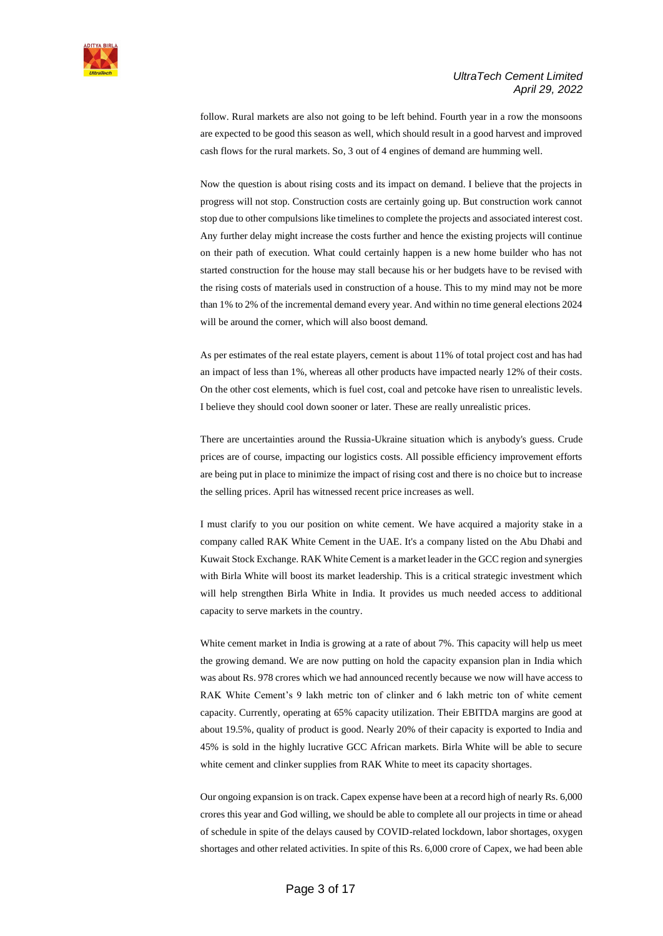

follow. Rural markets are also not going to be left behind. Fourth year in a row the monsoons are expected to be good this season as well, which should result in a good harvest and improved cash flows for the rural markets. So, 3 out of 4 engines of demand are humming well.

Now the question is about rising costs and its impact on demand. I believe that the projects in progress will not stop. Construction costs are certainly going up. But construction work cannot stop due to other compulsions like timelines to complete the projects and associated interest cost. Any further delay might increase the costs further and hence the existing projects will continue on their path of execution. What could certainly happen is a new home builder who has not started construction for the house may stall because his or her budgets have to be revised with the rising costs of materials used in construction of a house. This to my mind may not be more than 1% to 2% of the incremental demand every year. And within no time general elections 2024 will be around the corner, which will also boost demand.

As per estimates of the real estate players, cement is about 11% of total project cost and has had an impact of less than 1%, whereas all other products have impacted nearly 12% of their costs. On the other cost elements, which is fuel cost, coal and petcoke have risen to unrealistic levels. I believe they should cool down sooner or later. These are really unrealistic prices.

There are uncertainties around the Russia-Ukraine situation which is anybody's guess. Crude prices are of course, impacting our logistics costs. All possible efficiency improvement efforts are being put in place to minimize the impact of rising cost and there is no choice but to increase the selling prices. April has witnessed recent price increases as well.

I must clarify to you our position on white cement. We have acquired a majority stake in a company called RAK White Cement in the UAE. It's a company listed on the Abu Dhabi and Kuwait Stock Exchange. RAK White Cement is a market leader in the GCC region and synergies with Birla White will boost its market leadership. This is a critical strategic investment which will help strengthen Birla White in India. It provides us much needed access to additional capacity to serve markets in the country.

White cement market in India is growing at a rate of about 7%. This capacity will help us meet the growing demand. We are now putting on hold the capacity expansion plan in India which was about Rs. 978 crores which we had announced recently because we now will have access to RAK White Cement's 9 lakh metric ton of clinker and 6 lakh metric ton of white cement capacity. Currently, operating at 65% capacity utilization. Their EBITDA margins are good at about 19.5%, quality of product is good. Nearly 20% of their capacity is exported to India and 45% is sold in the highly lucrative GCC African markets. Birla White will be able to secure white cement and clinker supplies from RAK White to meet its capacity shortages.

Our ongoing expansion is on track. Capex expense have been at a record high of nearly Rs. 6,000 crores this year and God willing, we should be able to complete all our projects in time or ahead of schedule in spite of the delays caused by COVID-related lockdown, labor shortages, oxygen shortages and other related activities. In spite of this Rs. 6,000 crore of Capex, we had been able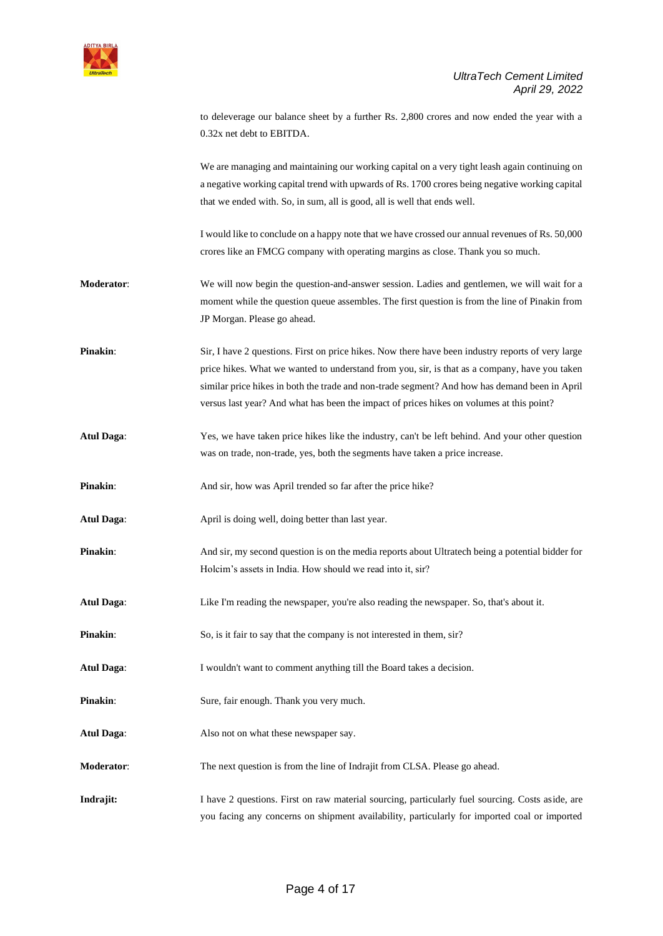

to deleverage our balance sheet by a further Rs. 2,800 crores and now ended the year with a 0.32x net debt to EBITDA.

We are managing and maintaining our working capital on a very tight leash again continuing on a negative working capital trend with upwards of Rs. 1700 crores being negative working capital that we ended with. So, in sum, all is good, all is well that ends well.

I would like to conclude on a happy note that we have crossed our annual revenues of Rs. 50,000 crores like an FMCG company with operating margins as close. Thank you so much.

**Moderator**: We will now begin the question-and-answer session. Ladies and gentlemen, we will wait for a moment while the question queue assembles. The first question is from the line of Pinakin from JP Morgan. Please go ahead.

**Pinakin:** Sir, I have 2 questions. First on price hikes. Now there have been industry reports of very large price hikes. What we wanted to understand from you, sir, is that as a company, have you taken similar price hikes in both the trade and non-trade segment? And how has demand been in April versus last year? And what has been the impact of prices hikes on volumes at this point?

**Atul Daga**: Yes, we have taken price hikes like the industry, can't be left behind. And your other question was on trade, non-trade, yes, both the segments have taken a price increase.

**Pinakin:** And sir, how was April trended so far after the price hike?

- Atul Daga: April is doing well, doing better than last year.
- **Pinakin:** And sir, my second question is on the media reports about Ultratech being a potential bidder for Holcim's assets in India. How should we read into it, sir?
- Atul Daga: Like I'm reading the newspaper, you're also reading the newspaper. So, that's about it.
- **Pinakin:** So, is it fair to say that the company is not interested in them, sir?

**Atul Daga**: I wouldn't want to comment anything till the Board takes a decision.

- **Pinakin:** Sure, fair enough. Thank you very much.
- **Atul Daga**: Also not on what these newspaper say.

**Moderator:** The next question is from the line of Indrajit from CLSA. Please go ahead.

**Indrajit:** I have 2 questions. First on raw material sourcing, particularly fuel sourcing. Costs aside, are you facing any concerns on shipment availability, particularly for imported coal or imported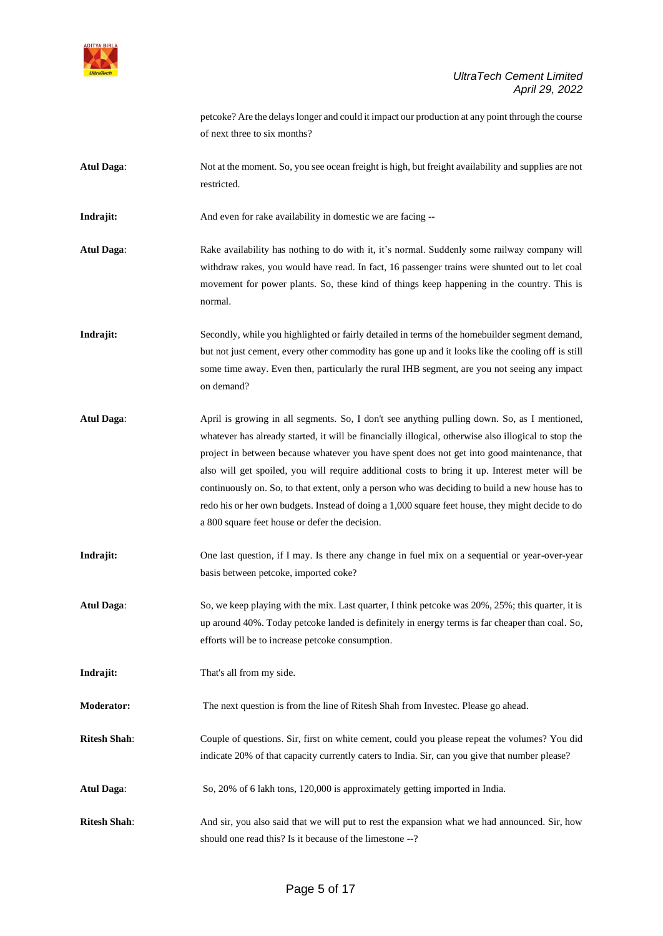

petcoke? Are the delays longer and could it impact our production at any point through the course of next three to six months?

**Atul Daga**: Not at the moment. So, you see ocean freight is high, but freight availability and supplies are not restricted.

**Indrajit:** And even for rake availability in domestic we are facing --

- **Atul Daga**: Rake availability has nothing to do with it, it's normal. Suddenly some railway company will withdraw rakes, you would have read. In fact, 16 passenger trains were shunted out to let coal movement for power plants. So, these kind of things keep happening in the country. This is normal.
- Indrajit: Secondly, while you highlighted or fairly detailed in terms of the homebuilder segment demand, but not just cement, every other commodity has gone up and it looks like the cooling off is still some time away. Even then, particularly the rural IHB segment, are you not seeing any impact on demand?
- **Atul Daga**: April is growing in all segments. So, I don't see anything pulling down. So, as I mentioned, whatever has already started, it will be financially illogical, otherwise also illogical to stop the project in between because whatever you have spent does not get into good maintenance, that also will get spoiled, you will require additional costs to bring it up. Interest meter will be continuously on. So, to that extent, only a person who was deciding to build a new house has to redo his or her own budgets. Instead of doing a 1,000 square feet house, they might decide to do a 800 square feet house or defer the decision.
- **Indrajit:** One last question, if I may. Is there any change in fuel mix on a sequential or year-over-year basis between petcoke, imported coke?
- **Atul Daga**: So, we keep playing with the mix. Last quarter, I think petcoke was 20%, 25%; this quarter, it is up around 40%. Today petcoke landed is definitely in energy terms is far cheaper than coal. So, efforts will be to increase petcoke consumption.
- **Indrajit:** That's all from my side.
- **Moderator:** The next question is from the line of Ritesh Shah from Investec. Please go ahead.
- **Ritesh Shah**: Couple of questions. Sir, first on white cement, could you please repeat the volumes? You did indicate 20% of that capacity currently caters to India. Sir, can you give that number please?
- **Atul Daga**: So, 20% of 6 lakh tons, 120,000 is approximately getting imported in India.
- **Ritesh Shah**: And sir, you also said that we will put to rest the expansion what we had announced. Sir, how should one read this? Is it because of the limestone --?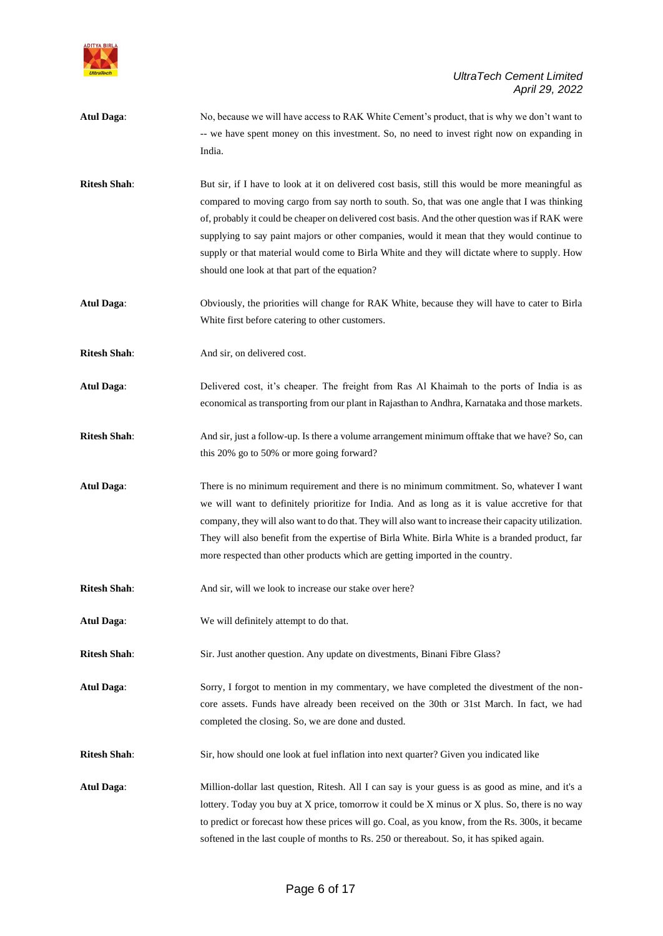

**Atul Daga**: No, because we will have access to RAK White Cement's product, that is why we don't want to -- we have spent money on this investment. So, no need to invest right now on expanding in India. **Ritesh Shah**: But sir, if I have to look at it on delivered cost basis, still this would be more meaningful as compared to moving cargo from say north to south. So, that was one angle that I was thinking of, probably it could be cheaper on delivered cost basis. And the other question was if RAK were supplying to say paint majors or other companies, would it mean that they would continue to supply or that material would come to Birla White and they will dictate where to supply. How should one look at that part of the equation? **Atul Daga**: Obviously, the priorities will change for RAK White, because they will have to cater to Birla White first before catering to other customers. **Ritesh Shah:** And sir, on delivered cost. **Atul Daga**: Delivered cost, it's cheaper. The freight from Ras Al Khaimah to the ports of India is as economical as transporting from our plant in Rajasthan to Andhra, Karnataka and those markets. **Ritesh Shah**: And sir, just a follow-up. Is there a volume arrangement minimum offtake that we have? So, can this 20% go to 50% or more going forward? **Atul Daga**: There is no minimum requirement and there is no minimum commitment. So, whatever I want we will want to definitely prioritize for India. And as long as it is value accretive for that company, they will also want to do that. They will also want to increase their capacity utilization. They will also benefit from the expertise of Birla White. Birla White is a branded product, far more respected than other products which are getting imported in the country. **Ritesh Shah:** And sir, will we look to increase our stake over here? **Atul Daga**: We will definitely attempt to do that. **Ritesh Shah**: Sir. Just another question. Any update on divestments, Binani Fibre Glass? **Atul Daga**: Sorry, I forgot to mention in my commentary, we have completed the divestment of the noncore assets. Funds have already been received on the 30th or 31st March. In fact, we had completed the closing. So, we are done and dusted. **Ritesh Shah**: Sir, how should one look at fuel inflation into next quarter? Given you indicated like **Atul Daga**: Million-dollar last question, Ritesh. All I can say is your guess is as good as mine, and it's a lottery. Today you buy at X price, tomorrow it could be X minus or X plus. So, there is no way to predict or forecast how these prices will go. Coal, as you know, from the Rs. 300s, it became softened in the last couple of months to Rs. 250 or thereabout. So, it has spiked again.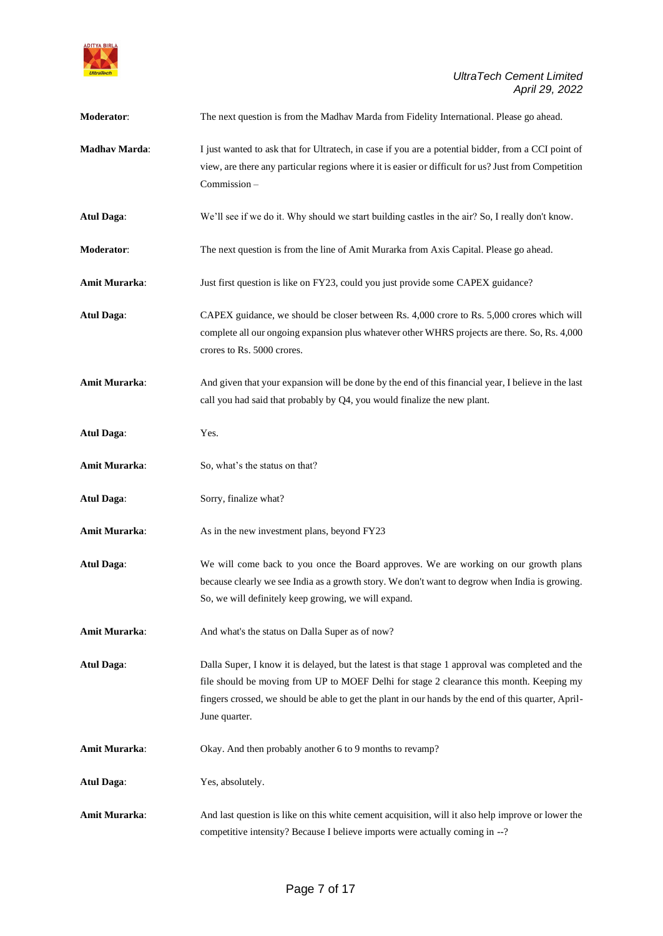

| Moderator:           | The next question is from the Madhav Marda from Fidelity International. Please go ahead.                                                                                                                                                                                                                             |
|----------------------|----------------------------------------------------------------------------------------------------------------------------------------------------------------------------------------------------------------------------------------------------------------------------------------------------------------------|
| <b>Madhav Marda:</b> | I just wanted to ask that for Ultratech, in case if you are a potential bidder, from a CCI point of<br>view, are there any particular regions where it is easier or difficult for us? Just from Competition<br>Commission-                                                                                           |
| <b>Atul Daga:</b>    | We'll see if we do it. Why should we start building castles in the air? So, I really don't know.                                                                                                                                                                                                                     |
| Moderator:           | The next question is from the line of Amit Murarka from Axis Capital. Please go ahead.                                                                                                                                                                                                                               |
| <b>Amit Murarka:</b> | Just first question is like on FY23, could you just provide some CAPEX guidance?                                                                                                                                                                                                                                     |
| <b>Atul Daga:</b>    | CAPEX guidance, we should be closer between Rs. 4,000 crore to Rs. 5,000 crores which will<br>complete all our ongoing expansion plus whatever other WHRS projects are there. So, Rs. 4,000<br>crores to Rs. 5000 crores.                                                                                            |
| Amit Murarka:        | And given that your expansion will be done by the end of this financial year, I believe in the last<br>call you had said that probably by Q4, you would finalize the new plant.                                                                                                                                      |
| <b>Atul Daga:</b>    | Yes.                                                                                                                                                                                                                                                                                                                 |
| <b>Amit Murarka:</b> | So, what's the status on that?                                                                                                                                                                                                                                                                                       |
| <b>Atul Daga:</b>    | Sorry, finalize what?                                                                                                                                                                                                                                                                                                |
| Amit Murarka:        | As in the new investment plans, beyond FY23                                                                                                                                                                                                                                                                          |
| <b>Atul Daga:</b>    | We will come back to you once the Board approves. We are working on our growth plans<br>because clearly we see India as a growth story. We don't want to degrow when India is growing.<br>So, we will definitely keep growing, we will expand.                                                                       |
| <b>Amit Murarka:</b> | And what's the status on Dalla Super as of now?                                                                                                                                                                                                                                                                      |
| <b>Atul Daga:</b>    | Dalla Super, I know it is delayed, but the latest is that stage 1 approval was completed and the<br>file should be moving from UP to MOEF Delhi for stage 2 clearance this month. Keeping my<br>fingers crossed, we should be able to get the plant in our hands by the end of this quarter, April-<br>June quarter. |
| Amit Murarka:        | Okay. And then probably another 6 to 9 months to revamp?                                                                                                                                                                                                                                                             |
| <b>Atul Daga:</b>    | Yes, absolutely.                                                                                                                                                                                                                                                                                                     |
| Amit Murarka:        | And last question is like on this white cement acquisition, will it also help improve or lower the<br>competitive intensity? Because I believe imports were actually coming in --?                                                                                                                                   |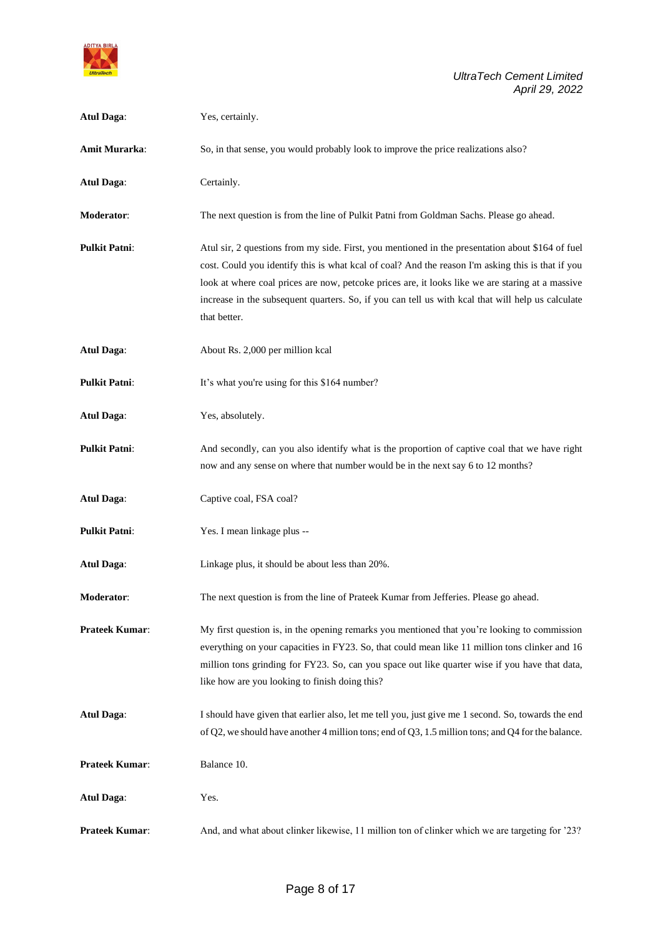

| <b>Atul Daga:</b>    | Yes, certainly.                                                                                                                                                                                                                                                                                                                                                                                                                |
|----------------------|--------------------------------------------------------------------------------------------------------------------------------------------------------------------------------------------------------------------------------------------------------------------------------------------------------------------------------------------------------------------------------------------------------------------------------|
| Amit Murarka:        | So, in that sense, you would probably look to improve the price realizations also?                                                                                                                                                                                                                                                                                                                                             |
| <b>Atul Daga:</b>    | Certainly.                                                                                                                                                                                                                                                                                                                                                                                                                     |
| Moderator:           | The next question is from the line of Pulkit Patni from Goldman Sachs. Please go ahead.                                                                                                                                                                                                                                                                                                                                        |
| <b>Pulkit Patni:</b> | Atul sir, 2 questions from my side. First, you mentioned in the presentation about \$164 of fuel<br>cost. Could you identify this is what kcal of coal? And the reason I'm asking this is that if you<br>look at where coal prices are now, petcoke prices are, it looks like we are staring at a massive<br>increase in the subsequent quarters. So, if you can tell us with kcal that will help us calculate<br>that better. |
| <b>Atul Daga:</b>    | About Rs. 2,000 per million kcal                                                                                                                                                                                                                                                                                                                                                                                               |
| <b>Pulkit Patni:</b> | It's what you're using for this \$164 number?                                                                                                                                                                                                                                                                                                                                                                                  |
| <b>Atul Daga:</b>    | Yes, absolutely.                                                                                                                                                                                                                                                                                                                                                                                                               |
| <b>Pulkit Patni:</b> | And secondly, can you also identify what is the proportion of captive coal that we have right<br>now and any sense on where that number would be in the next say 6 to 12 months?                                                                                                                                                                                                                                               |
| <b>Atul Daga:</b>    | Captive coal, FSA coal?                                                                                                                                                                                                                                                                                                                                                                                                        |
| <b>Pulkit Patni:</b> | Yes. I mean linkage plus --                                                                                                                                                                                                                                                                                                                                                                                                    |
| <b>Atul Daga:</b>    | Linkage plus, it should be about less than 20%.                                                                                                                                                                                                                                                                                                                                                                                |
| Moderator:           | The next question is from the line of Prateek Kumar from Jefferies. Please go ahead.                                                                                                                                                                                                                                                                                                                                           |
| Prateek Kumar:       | My first question is, in the opening remarks you mentioned that you're looking to commission<br>everything on your capacities in FY23. So, that could mean like 11 million tons clinker and 16<br>million tons grinding for FY23. So, can you space out like quarter wise if you have that data,<br>like how are you looking to finish doing this?                                                                             |
| <b>Atul Daga:</b>    | I should have given that earlier also, let me tell you, just give me 1 second. So, towards the end<br>of Q2, we should have another 4 million tons; end of Q3, 1.5 million tons; and Q4 for the balance.                                                                                                                                                                                                                       |
| Prateek Kumar:       | Balance 10.                                                                                                                                                                                                                                                                                                                                                                                                                    |
| <b>Atul Daga:</b>    | Yes.                                                                                                                                                                                                                                                                                                                                                                                                                           |
| Prateek Kumar:       | And, and what about clinker likewise, 11 million ton of clinker which we are targeting for '23?                                                                                                                                                                                                                                                                                                                                |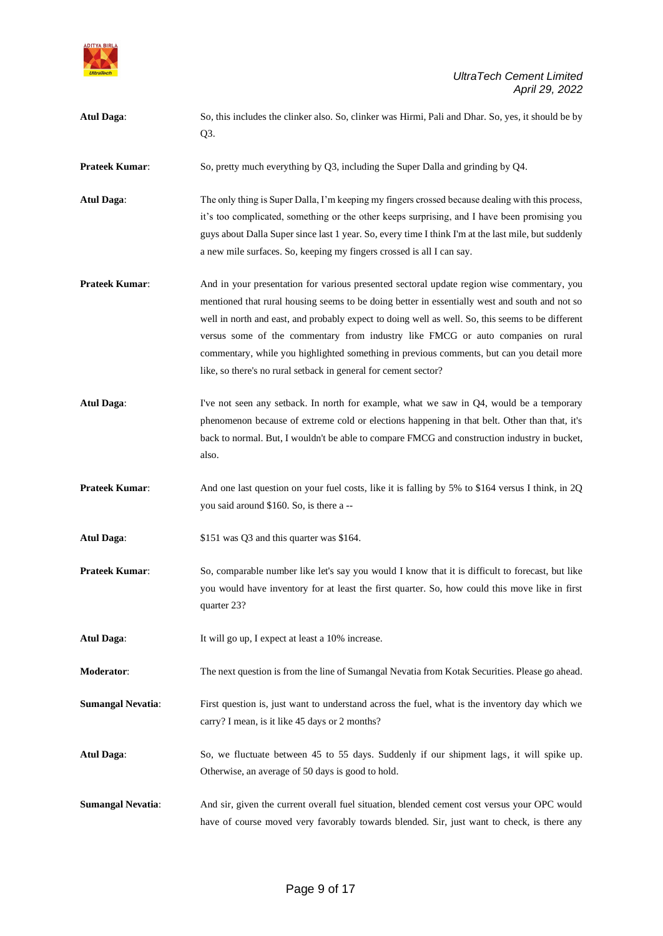

- **Atul Daga**: So, this includes the clinker also. So, clinker was Hirmi, Pali and Dhar. So, yes, it should be by Q3. **Prateek Kumar:** So, pretty much everything by Q3, including the Super Dalla and grinding by Q4. **Atul Daga**: The only thing is Super Dalla, I'm keeping my fingers crossed because dealing with this process, it's too complicated, something or the other keeps surprising, and I have been promising you guys about Dalla Super since last 1 year. So, every time I think I'm at the last mile, but suddenly a new mile surfaces. So, keeping my fingers crossed is all I can say. **Prateek Kumar:** And in your presentation for various presented sectoral update region wise commentary, you mentioned that rural housing seems to be doing better in essentially west and south and not so well in north and east, and probably expect to doing well as well. So, this seems to be different versus some of the commentary from industry like FMCG or auto companies on rural commentary, while you highlighted something in previous comments, but can you detail more like, so there's no rural setback in general for cement sector? **Atul Daga:** I've not seen any setback. In north for example, what we saw in Q4, would be a temporary phenomenon because of extreme cold or elections happening in that belt. Other than that, it's back to normal. But, I wouldn't be able to compare FMCG and construction industry in bucket, also. **Prateek Kumar:** And one last question on your fuel costs, like it is falling by 5% to \$164 versus I think, in 2Q you said around \$160. So, is there a -- **Atul Daga**: \$151 was Q3 and this quarter was \$164. **Prateek Kumar:** So, comparable number like let's say you would I know that it is difficult to forecast, but like you would have inventory for at least the first quarter. So, how could this move like in first quarter 23? Atul Daga: It will go up, I expect at least a 10% increase. **Moderator:** The next question is from the line of Sumangal Nevatia from Kotak Securities. Please go ahead. **Sumangal Nevatia:** First question is, just want to understand across the fuel, what is the inventory day which we carry? I mean, is it like 45 days or 2 months? **Atul Daga**: So, we fluctuate between 45 to 55 days. Suddenly if our shipment lags, it will spike up. Otherwise, an average of 50 days is good to hold.
- **Sumangal Nevatia:** And sir, given the current overall fuel situation, blended cement cost versus your OPC would have of course moved very favorably towards blended. Sir, just want to check, is there any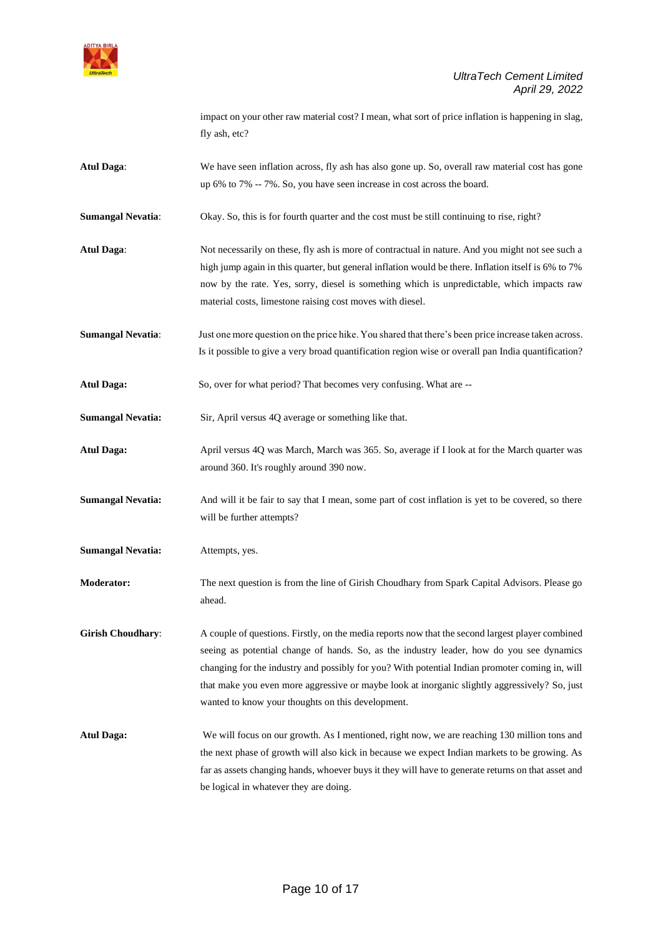

impact on your other raw material cost? I mean, what sort of price inflation is happening in slag, fly ash, etc?

Atul Daga: We have seen inflation across, fly ash has also gone up. So, overall raw material cost has gone up 6% to 7% -- 7%. So, you have seen increase in cost across the board.

**Sumangal Nevatia:** Okay. So, this is for fourth quarter and the cost must be still continuing to rise, right?

- **Atul Daga**: Not necessarily on these, fly ash is more of contractual in nature. And you might not see such a high jump again in this quarter, but general inflation would be there. Inflation itself is 6% to 7% now by the rate. Yes, sorry, diesel is something which is unpredictable, which impacts raw material costs, limestone raising cost moves with diesel.
- **Sumangal Nevatia**: Just one more question on the price hike. You shared that there's been price increase taken across. Is it possible to give a very broad quantification region wise or overall pan India quantification?
- **Atul Daga:** So, over for what period? That becomes very confusing. What are --

**Sumangal Nevatia:** Sir, April versus 4Q average or something like that.

- **Atul Daga:** April versus 4Q was March, March was 365. So, average if I look at for the March quarter was around 360. It's roughly around 390 now.
- **Sumangal Nevatia:** And will it be fair to say that I mean, some part of cost inflation is yet to be covered, so there will be further attempts?

**Sumangal Nevatia:** Attempts, yes.

- **Moderator:** The next question is from the line of Girish Choudhary from Spark Capital Advisors. Please go ahead.
- **Girish Choudhary:** A couple of questions. Firstly, on the media reports now that the second largest player combined seeing as potential change of hands. So, as the industry leader, how do you see dynamics changing for the industry and possibly for you? With potential Indian promoter coming in, will that make you even more aggressive or maybe look at inorganic slightly aggressively? So, just wanted to know your thoughts on this development.
- **Atul Daga:** We will focus on our growth. As I mentioned, right now, we are reaching 130 million tons and the next phase of growth will also kick in because we expect Indian markets to be growing. As far as assets changing hands, whoever buys it they will have to generate returns on that asset and be logical in whatever they are doing.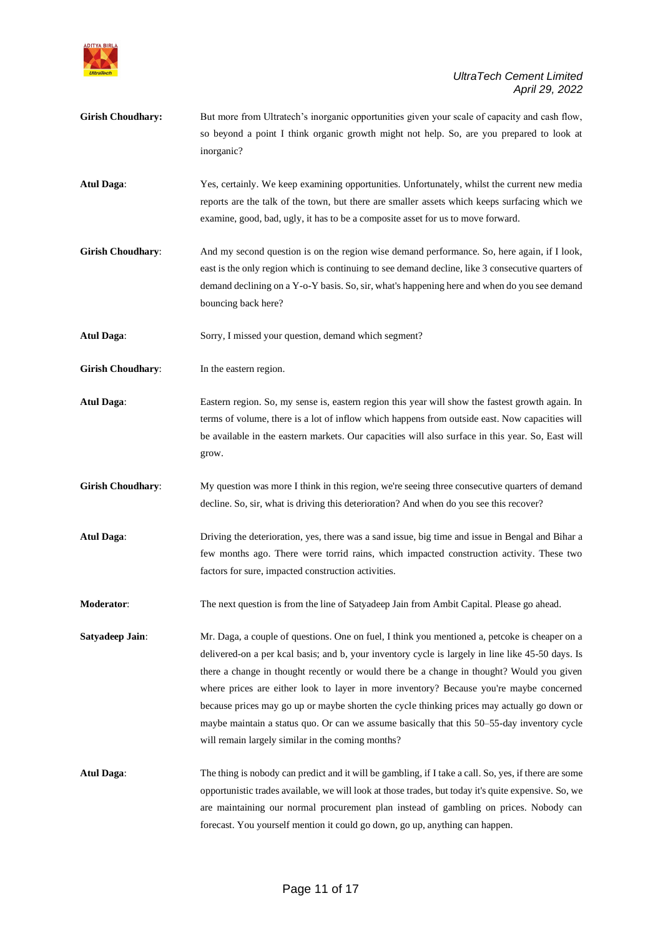

- Girish Choudhary: But more from Ultratech's inorganic opportunities given your scale of capacity and cash flow, so beyond a point I think organic growth might not help. So, are you prepared to look at inorganic?
- **Atul Daga**: Yes, certainly. We keep examining opportunities. Unfortunately, whilst the current new media reports are the talk of the town, but there are smaller assets which keeps surfacing which we examine, good, bad, ugly, it has to be a composite asset for us to move forward.
- **Girish Choudhary**: And my second question is on the region wise demand performance. So, here again, if I look, east is the only region which is continuing to see demand decline, like 3 consecutive quarters of demand declining on a Y-o-Y basis. So, sir, what's happening here and when do you see demand bouncing back here?

**Atul Daga**: Sorry, I missed your question, demand which segment?

**Girish Choudhary:** In the eastern region.

**Atul Daga**: Eastern region. So, my sense is, eastern region this year will show the fastest growth again. In terms of volume, there is a lot of inflow which happens from outside east. Now capacities will be available in the eastern markets. Our capacities will also surface in this year. So, East will grow.

- Girish Choudhary: My question was more I think in this region, we're seeing three consecutive quarters of demand decline. So, sir, what is driving this deterioration? And when do you see this recover?
- **Atul Daga**: Driving the deterioration, yes, there was a sand issue, big time and issue in Bengal and Bihar a few months ago. There were torrid rains, which impacted construction activity. These two factors for sure, impacted construction activities.

**Moderator**: The next question is from the line of Satyadeep Jain from Ambit Capital. Please go ahead.

**Satyadeep Jain**: Mr. Daga, a couple of questions. One on fuel, I think you mentioned a, petcoke is cheaper on a delivered-on a per kcal basis; and b, your inventory cycle is largely in line like 45-50 days. Is there a change in thought recently or would there be a change in thought? Would you given where prices are either look to layer in more inventory? Because you're maybe concerned because prices may go up or maybe shorten the cycle thinking prices may actually go down or maybe maintain a status quo. Or can we assume basically that this 50–55-day inventory cycle will remain largely similar in the coming months?

**Atul Daga**: The thing is nobody can predict and it will be gambling, if I take a call. So, yes, if there are some opportunistic trades available, we will look at those trades, but today it's quite expensive. So, we are maintaining our normal procurement plan instead of gambling on prices. Nobody can forecast. You yourself mention it could go down, go up, anything can happen.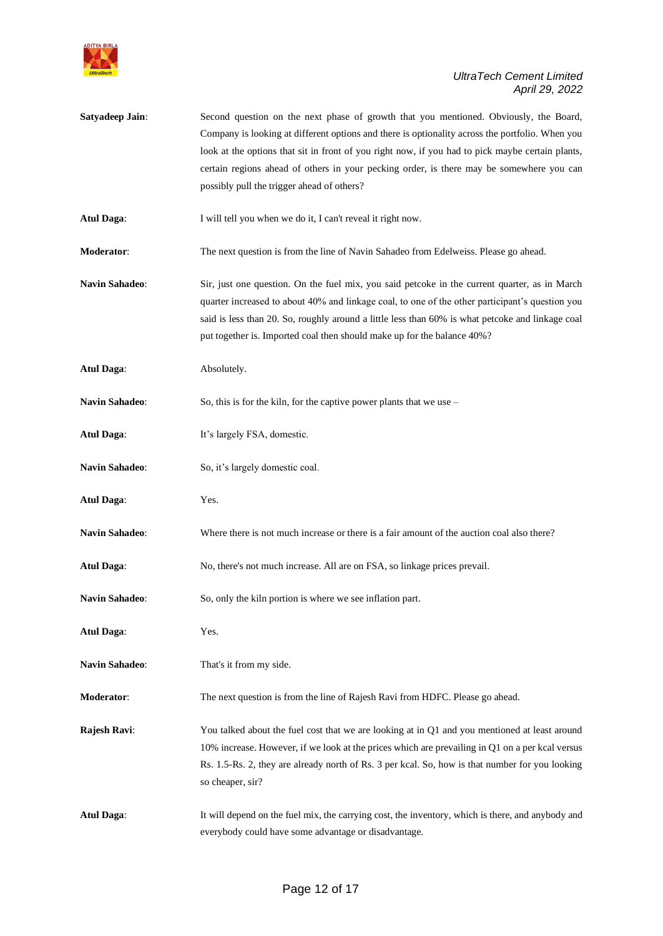

**Satyadeep Jain**: Second question on the next phase of growth that you mentioned. Obviously, the Board, Company is looking at different options and there is optionality across the portfolio. When you look at the options that sit in front of you right now, if you had to pick maybe certain plants, certain regions ahead of others in your pecking order, is there may be somewhere you can possibly pull the trigger ahead of others?

Atul Daga: I will tell you when we do it, I can't reveal it right now.

**Moderator**: The next question is from the line of Navin Sahadeo from Edelweiss. Please go ahead.

- **Navin Sahadeo**: Sir, just one question. On the fuel mix, you said petcoke in the current quarter, as in March quarter increased to about 40% and linkage coal, to one of the other participant's question you said is less than 20. So, roughly around a little less than 60% is what petcoke and linkage coal put together is. Imported coal then should make up for the balance 40%?
- **Atul Daga**: Absolutely.

**Navin Sahadeo:** So, this is for the kiln, for the captive power plants that we use –

- **Atul Daga**: It's largely FSA, domestic.
- Navin Sahadeo: So, it's largely domestic coal.
- **Atul Daga**: Yes.
- **Navin Sahadeo:** Where there is not much increase or there is a fair amount of the auction coal also there?
- **Atul Daga**: No, there's not much increase. All are on FSA, so linkage prices prevail.
- **Navin Sahadeo:** So, only the kiln portion is where we see inflation part.
- **Atul Daga**: Yes.
- **Navin Sahadeo**: That's it from my side.
- **Moderator:** The next question is from the line of Rajesh Ravi from HDFC. Please go ahead.
- **Rajesh Ravi:** You talked about the fuel cost that we are looking at in Q1 and you mentioned at least around 10% increase. However, if we look at the prices which are prevailing in Q1 on a per kcal versus Rs. 1.5-Rs. 2, they are already north of Rs. 3 per kcal. So, how is that number for you looking so cheaper, sir?
- **Atul Daga**: It will depend on the fuel mix, the carrying cost, the inventory, which is there, and anybody and everybody could have some advantage or disadvantage.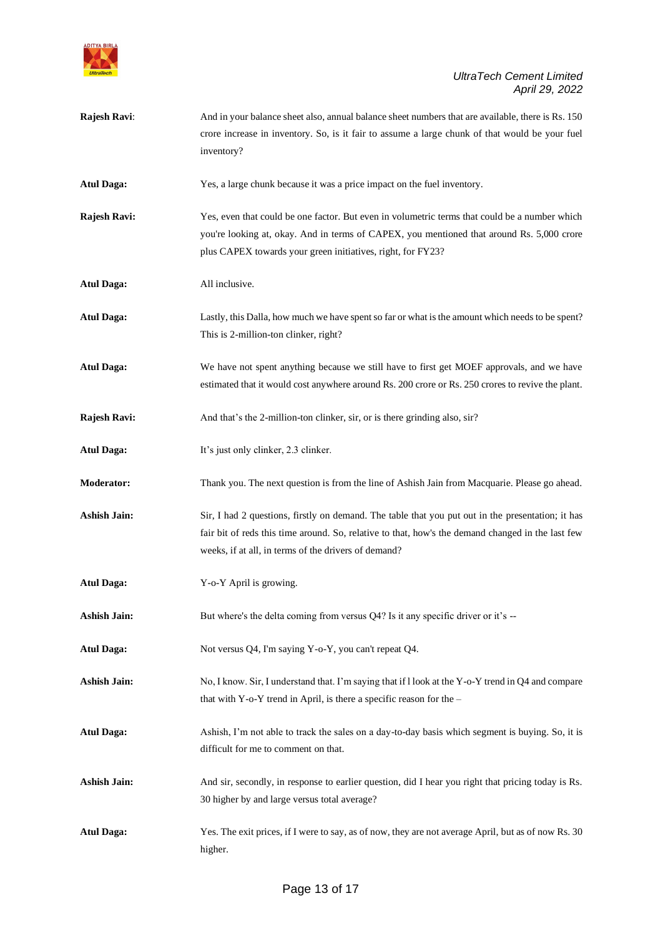

**Rajesh Ravi:** And in your balance sheet also, annual balance sheet numbers that are available, there is Rs. 150 crore increase in inventory. So, is it fair to assume a large chunk of that would be your fuel inventory?

**Atul Daga:** Yes, a large chunk because it was a price impact on the fuel inventory.

- **Rajesh Ravi:** Yes, even that could be one factor. But even in volumetric terms that could be a number which you're looking at, okay. And in terms of CAPEX, you mentioned that around Rs. 5,000 crore plus CAPEX towards your green initiatives, right, for FY23?
- **Atul Daga:** All inclusive.
- **Atul Daga:** Lastly, this Dalla, how much we have spent so far or what is the amount which needs to be spent? This is 2-million-ton clinker, right?
- **Atul Daga:** We have not spent anything because we still have to first get MOEF approvals, and we have estimated that it would cost anywhere around Rs. 200 crore or Rs. 250 crores to revive the plant.
- **Rajesh Ravi:** And that's the 2-million-ton clinker, sir, or is there grinding also, sir?
- Atul Daga: It's just only clinker, 2.3 clinker.
- **Moderator:** Thank you. The next question is from the line of Ashish Jain from Macquarie. Please go ahead.
- **Ashish Jain:** Sir, I had 2 questions, firstly on demand. The table that you put out in the presentation; it has fair bit of reds this time around. So, relative to that, how's the demand changed in the last few weeks, if at all, in terms of the drivers of demand?
- **Atul Daga:** Y-o-Y April is growing.
- **Ashish Jain:** But where's the delta coming from versus Q4? Is it any specific driver or it's --
- **Atul Daga:** Not versus Q4, I'm saying Y-o-Y, you can't repeat Q4.
- **Ashish Jain:** No, I know. Sir, I understand that. I'm saying that if l look at the Y-o-Y trend in Q4 and compare that with Y-o-Y trend in April, is there a specific reason for the –
- **Atul Daga:** Ashish, I'm not able to track the sales on a day-to-day basis which segment is buying. So, it is difficult for me to comment on that.
- Ashish Jain: And sir, secondly, in response to earlier question, did I hear you right that pricing today is Rs. 30 higher by and large versus total average?
- **Atul Daga:** Yes. The exit prices, if I were to say, as of now, they are not average April, but as of now Rs. 30 higher.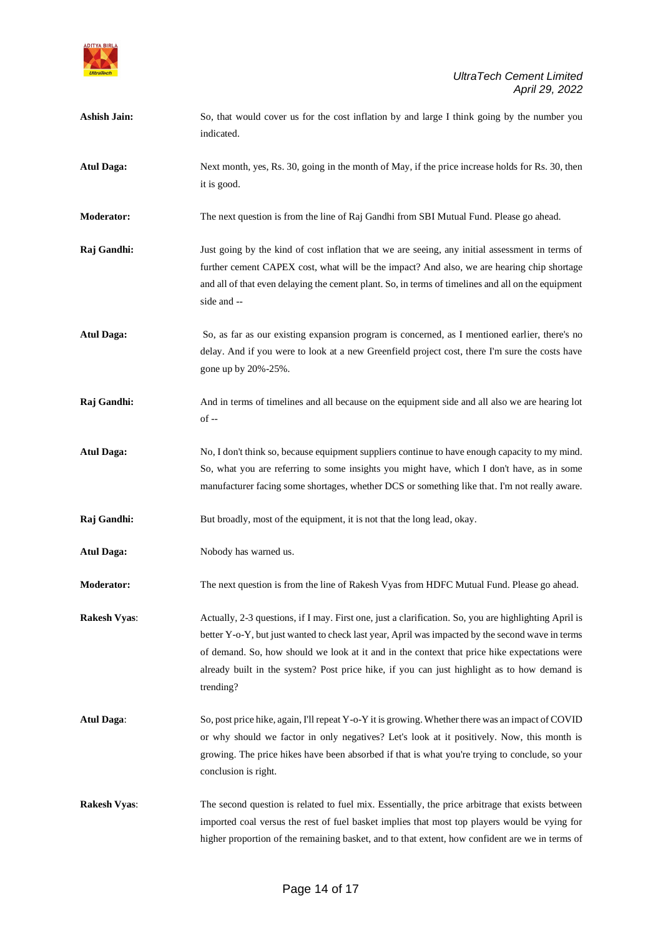

| <b>Ashish Jain:</b> | So, that would cover us for the cost inflation by and large I think going by the number you<br>indicated.                                                                                                                                                                                                                                                                                                             |
|---------------------|-----------------------------------------------------------------------------------------------------------------------------------------------------------------------------------------------------------------------------------------------------------------------------------------------------------------------------------------------------------------------------------------------------------------------|
| <b>Atul Daga:</b>   | Next month, yes, Rs. 30, going in the month of May, if the price increase holds for Rs. 30, then<br>it is good.                                                                                                                                                                                                                                                                                                       |
| <b>Moderator:</b>   | The next question is from the line of Raj Gandhi from SBI Mutual Fund. Please go ahead.                                                                                                                                                                                                                                                                                                                               |
| Raj Gandhi:         | Just going by the kind of cost inflation that we are seeing, any initial assessment in terms of<br>further cement CAPEX cost, what will be the impact? And also, we are hearing chip shortage<br>and all of that even delaying the cement plant. So, in terms of timelines and all on the equipment<br>side and --                                                                                                    |
| <b>Atul Daga:</b>   | So, as far as our existing expansion program is concerned, as I mentioned earlier, there's no<br>delay. And if you were to look at a new Greenfield project cost, there I'm sure the costs have<br>gone up by 20%-25%.                                                                                                                                                                                                |
| Raj Gandhi:         | And in terms of timelines and all because on the equipment side and all also we are hearing lot<br>$of -$                                                                                                                                                                                                                                                                                                             |
| <b>Atul Daga:</b>   | No, I don't think so, because equipment suppliers continue to have enough capacity to my mind.<br>So, what you are referring to some insights you might have, which I don't have, as in some<br>manufacturer facing some shortages, whether DCS or something like that. I'm not really aware.                                                                                                                         |
| Raj Gandhi:         | But broadly, most of the equipment, it is not that the long lead, okay.                                                                                                                                                                                                                                                                                                                                               |
| <b>Atul Daga:</b>   | Nobody has warned us.                                                                                                                                                                                                                                                                                                                                                                                                 |
| <b>Moderator:</b>   | The next question is from the line of Rakesh Vyas from HDFC Mutual Fund. Please go ahead.                                                                                                                                                                                                                                                                                                                             |
| <b>Rakesh Vyas:</b> | Actually, 2-3 questions, if I may. First one, just a clarification. So, you are highlighting April is<br>better Y-o-Y, but just wanted to check last year, April was impacted by the second wave in terms<br>of demand. So, how should we look at it and in the context that price hike expectations were<br>already built in the system? Post price hike, if you can just highlight as to how demand is<br>trending? |
| <b>Atul Daga:</b>   | So, post price hike, again, I'll repeat Y-o-Y it is growing. Whether there was an impact of COVID<br>or why should we factor in only negatives? Let's look at it positively. Now, this month is<br>growing. The price hikes have been absorbed if that is what you're trying to conclude, so your<br>conclusion is right.                                                                                             |
| <b>Rakesh Vyas:</b> | The second question is related to fuel mix. Essentially, the price arbitrage that exists between<br>imported coal versus the rest of fuel basket implies that most top players would be vying for                                                                                                                                                                                                                     |

higher proportion of the remaining basket, and to that extent, how confident are we in terms of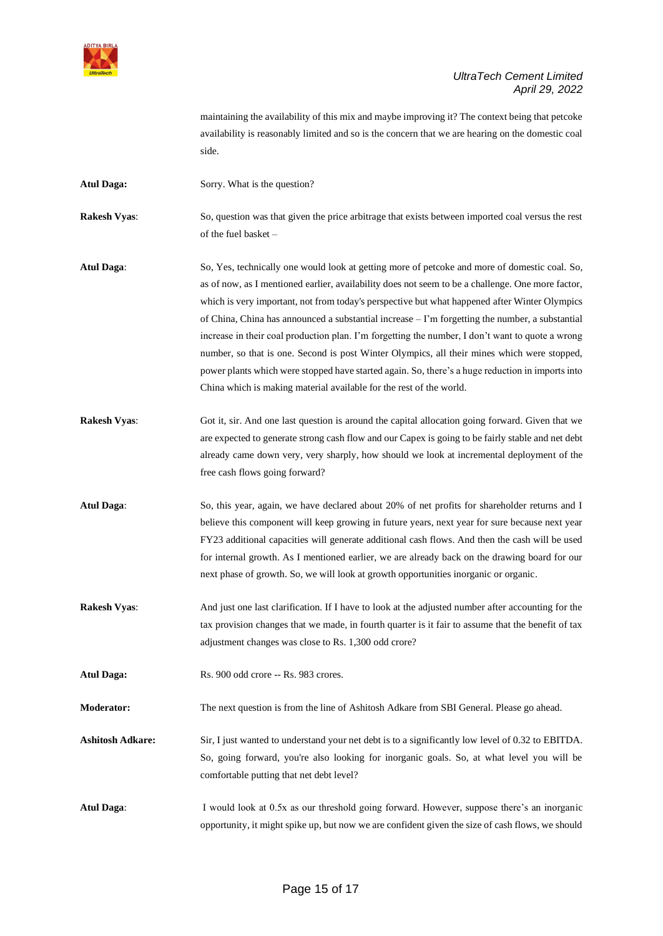

maintaining the availability of this mix and maybe improving it? The context being that petcoke availability is reasonably limited and so is the concern that we are hearing on the domestic coal side.

Atul Daga: Sorry. What is the question?

**Rakesh Vyas:** So, question was that given the price arbitrage that exists between imported coal versus the rest of the fuel basket –

- **Atul Daga**: So, Yes, technically one would look at getting more of petcoke and more of domestic coal. So, as of now, as I mentioned earlier, availability does not seem to be a challenge. One more factor, which is very important, not from today's perspective but what happened after Winter Olympics of China, China has announced a substantial increase – I'm forgetting the number, a substantial increase in their coal production plan. I'm forgetting the number, I don't want to quote a wrong number, so that is one. Second is post Winter Olympics, all their mines which were stopped, power plants which were stopped have started again. So, there's a huge reduction in imports into China which is making material available for the rest of the world.
- **Rakesh Vyas:** Got it, sir. And one last question is around the capital allocation going forward. Given that we are expected to generate strong cash flow and our Capex is going to be fairly stable and net debt already came down very, very sharply, how should we look at incremental deployment of the free cash flows going forward?

**Atul Daga**: So, this year, again, we have declared about 20% of net profits for shareholder returns and I believe this component will keep growing in future years, next year for sure because next year FY23 additional capacities will generate additional cash flows. And then the cash will be used for internal growth. As I mentioned earlier, we are already back on the drawing board for our next phase of growth. So, we will look at growth opportunities inorganic or organic.

- **Rakesh Vyas:** And just one last clarification. If I have to look at the adjusted number after accounting for the tax provision changes that we made, in fourth quarter is it fair to assume that the benefit of tax adjustment changes was close to Rs. 1,300 odd crore?
- Atul Daga: Rs. 900 odd crore -- Rs. 983 crores.

**Moderator:** The next question is from the line of Ashitosh Adkare from SBI General. Please go ahead.

**Ashitosh Adkare:** Sir, I just wanted to understand your net debt is to a significantly low level of 0.32 to EBITDA. So, going forward, you're also looking for inorganic goals. So, at what level you will be comfortable putting that net debt level?

**Atul Daga**: I would look at 0.5x as our threshold going forward. However, suppose there's an inorganic opportunity, it might spike up, but now we are confident given the size of cash flows, we should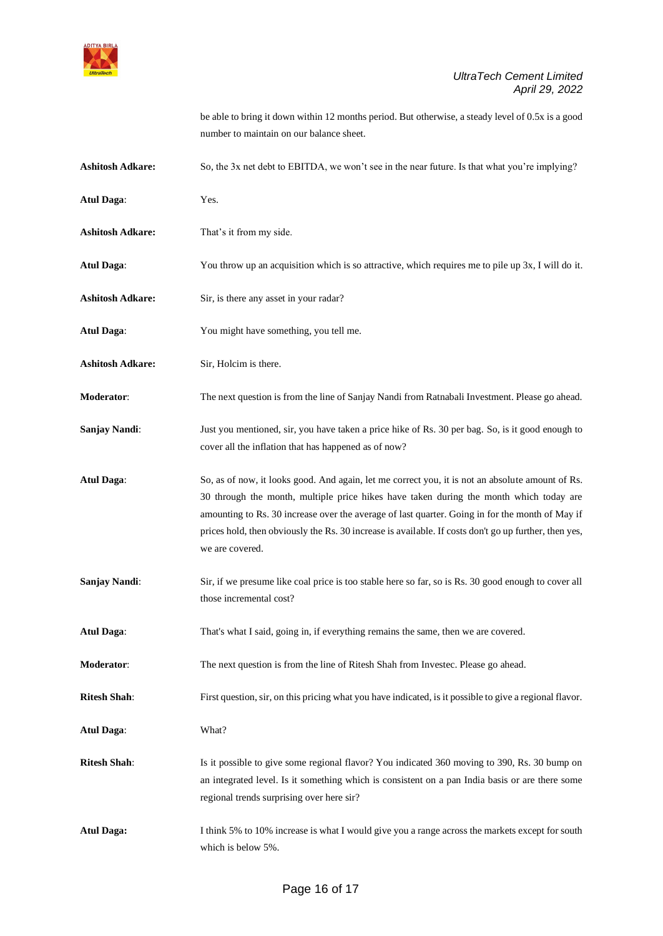

be able to bring it down within 12 months period. But otherwise, a steady level of 0.5x is a good number to maintain on our balance sheet.

**Ashitosh Adkare:** So, the 3x net debt to EBITDA, we won't see in the near future. Is that what you're implying? **Atul Daga**: Yes. **Ashitosh Adkare:** That's it from my side. **Atul Daga**: You throw up an acquisition which is so attractive, which requires me to pile up 3x, I will do it. **Ashitosh Adkare:** Sir, is there any asset in your radar? **Atul Daga**: You might have something, you tell me. **Ashitosh Adkare:** Sir, Holcim is there. **Moderator**: The next question is from the line of Sanjay Nandi from Ratnabali Investment. Please go ahead. **Sanjay Nandi:** Just you mentioned, sir, you have taken a price hike of Rs. 30 per bag. So, is it good enough to cover all the inflation that has happened as of now? **Atul Daga**: So, as of now, it looks good. And again, let me correct you, it is not an absolute amount of Rs. 30 through the month, multiple price hikes have taken during the month which today are amounting to Rs. 30 increase over the average of last quarter. Going in for the month of May if prices hold, then obviously the Rs. 30 increase is available. If costs don't go up further, then yes, we are covered. **Sanjay Nandi:** Sir, if we presume like coal price is too stable here so far, so is Rs. 30 good enough to cover all those incremental cost?

**Atul Daga**: That's what I said, going in, if everything remains the same, then we are covered.

**Moderator:** The next question is from the line of Ritesh Shah from Investec. Please go ahead.

**Ritesh Shah**: First question, sir, on this pricing what you have indicated, is it possible to give a regional flavor.

**Atul Daga**: What?

**Ritesh Shah**: Is it possible to give some regional flavor? You indicated 360 moving to 390, Rs. 30 bump on an integrated level. Is it something which is consistent on a pan India basis or are there some regional trends surprising over here sir?

**Atul Daga:** I think 5% to 10% increase is what I would give you a range across the markets except for south which is below 5%.